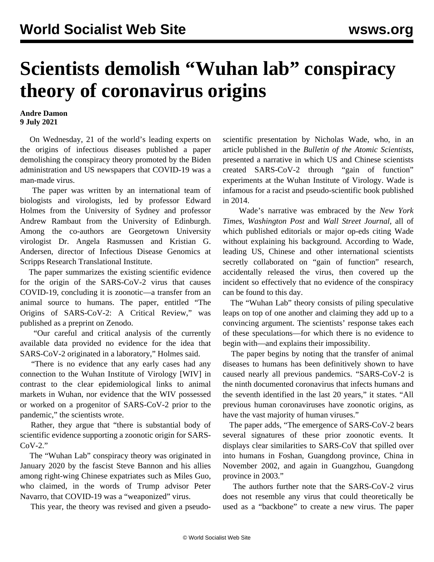## **Scientists demolish "Wuhan lab" conspiracy theory of coronavirus origins**

## **Andre Damon 9 July 2021**

 On Wednesday, 21 of the world's leading experts on the origins of infectious diseases [published a paper](https://zenodo.org/record/5075888#.YOhELMD3YlQ) demolishing the conspiracy theory promoted by the Biden administration and US newspapers that COVID-19 was a man-made virus.

 The paper was written by an international team of biologists and virologists, led by professor Edward Holmes from the University of Sydney and professor Andrew Rambaut from the University of Edinburgh. Among the co-authors are Georgetown University virologist Dr. Angela Rasmussen and Kristian G. Andersen, director of Infectious Disease Genomics at Scripps Research Translational Institute.

 The paper summarizes the existing scientific evidence for the origin of the SARS-CoV-2 virus that causes COVID-19, concluding it is zoonotic—a transfer from an animal source to humans. The paper, entitled "The Origins of SARS-CoV-2: A Critical Review," was published as a preprint on Zenodo.

 "Our careful and critical analysis of the currently available data provided no evidence for the idea that SARS-CoV-2 originated in a laboratory," Holmes said.

 "There is no evidence that any early cases had any connection to the Wuhan Institute of Virology [WIV] in contrast to the clear epidemiological links to animal markets in Wuhan, nor evidence that the WIV possessed or worked on a progenitor of SARS-CoV-2 prior to the pandemic," the scientists wrote.

 Rather, they argue that "there is substantial body of scientific evidence supporting a zoonotic origin for SARS- $CoV-2.$ "

 The "Wuhan Lab" conspiracy theory was originated in January 2020 by the fascist [Steve Bannon and his allies](/en/articles/2021/05/31/wuha-m31.html) among right-wing Chinese expatriates such as Miles Guo, who claimed, in the words of Trump advisor Peter Navarro, that COVID-19 was a "weaponized" virus.

This year, the theory was revised and given a pseudo-

scientific presentation by Nicholas Wade, who, in an article published in the *Bulletin of the Atomic Scientists*, presented a narrative in which US and Chinese scientists created SARS-CoV-2 through "gain of function" experiments at the Wuhan Institute of Virology. Wade is infamous for a [racist and pseudo-scientific book](/en/articles/2021/06/07/wade-j07.html) published in 2014.

 Wade's narrative was embraced by the *New York Times*, *Washington Post* and *Wall Street Journal*, all of which published editorials or major op-eds citing Wade without explaining his background. According to Wade, leading US, Chinese and other international scientists secretly collaborated on "gain of function" research, accidentally released the virus, then covered up the incident so effectively that no evidence of the conspiracy can be found to this day.

 The "Wuhan Lab" theory consists of piling speculative leaps on top of one another and claiming they add up to a convincing argument. The scientists' response takes each of these speculations—for which there is no evidence to begin with—and explains their impossibility.

 The paper begins by noting that the transfer of animal diseases to humans has been definitively shown to have caused nearly all previous pandemics. "SARS-CoV-2 is the ninth documented coronavirus that infects humans and the seventh identified in the last 20 years," it states. "All previous human coronaviruses have zoonotic origins, as have the vast majority of human viruses."

 The paper adds, "The emergence of SARS-CoV-2 bears several signatures of these prior zoonotic events. It displays clear similarities to SARS-CoV that spilled over into humans in Foshan, Guangdong province, China in November 2002, and again in Guangzhou, Guangdong province in 2003."

 The authors further note that the SARS-CoV-2 virus does not resemble any virus that could theoretically be used as a "backbone" to create a new virus. The paper